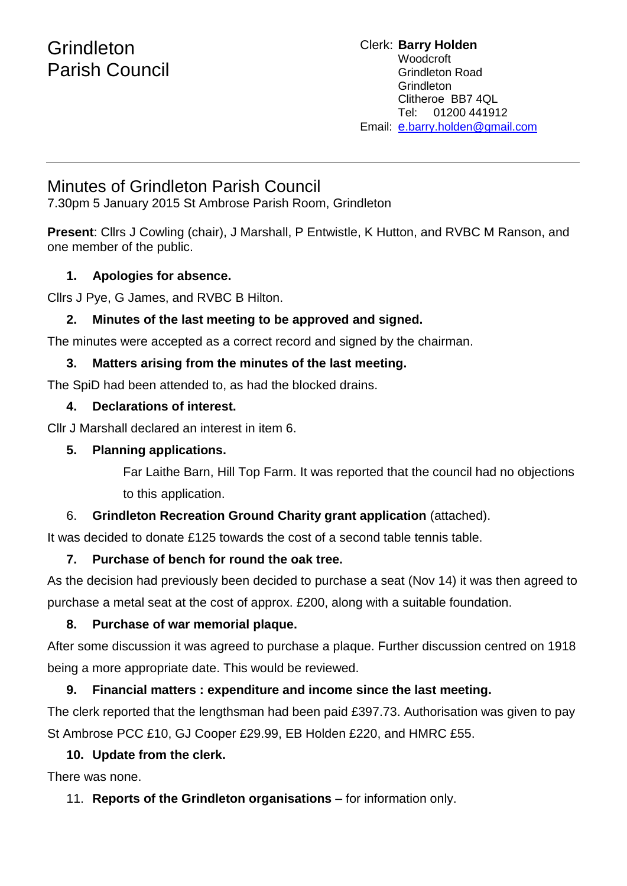# **Grindleton** Parish Council

#### Clerk: **Barry Holden** Woodcroft Grindleton Road Grindleton Clitheroe BB7 4QL Tel: 01200 441912 Email: [e](mailto:edwardbholden@yahoo.co.uk).barry.holden@gmail.com

## Minutes of Grindleton Parish Council

7.30pm 5 January 2015 St Ambrose Parish Room, Grindleton

**Present**: Cllrs J Cowling (chair), J Marshall, P Entwistle, K Hutton, and RVBC M Ranson, and one member of the public.

#### **1. Apologies for absence.**

Cllrs J Pye, G James, and RVBC B Hilton.

#### **2. Minutes of the last meeting to be approved and signed.**

The minutes were accepted as a correct record and signed by the chairman.

#### **3. Matters arising from the minutes of the last meeting.**

The SpiD had been attended to, as had the blocked drains.

#### **4. Declarations of interest.**

Cllr J Marshall declared an interest in item 6.

#### **5. Planning applications.**

Far Laithe Barn, Hill Top Farm. It was reported that the council had no objections to this application.

### 6. **Grindleton Recreation Ground Charity grant application** (attached).

It was decided to donate £125 towards the cost of a second table tennis table.

### **7. Purchase of bench for round the oak tree.**

As the decision had previously been decided to purchase a seat (Nov 14) it was then agreed to purchase a metal seat at the cost of approx. £200, along with a suitable foundation.

### **8. Purchase of war memorial plaque.**

After some discussion it was agreed to purchase a plaque. Further discussion centred on 1918 being a more appropriate date. This would be reviewed.

## **9. Financial matters : expenditure and income since the last meeting.**

The clerk reported that the lengthsman had been paid £397.73. Authorisation was given to pay St Ambrose PCC £10, GJ Cooper £29.99, EB Holden £220, and HMRC £55.

### **10. Update from the clerk.**

There was none.

11. **Reports of the Grindleton organisations** – for information only.